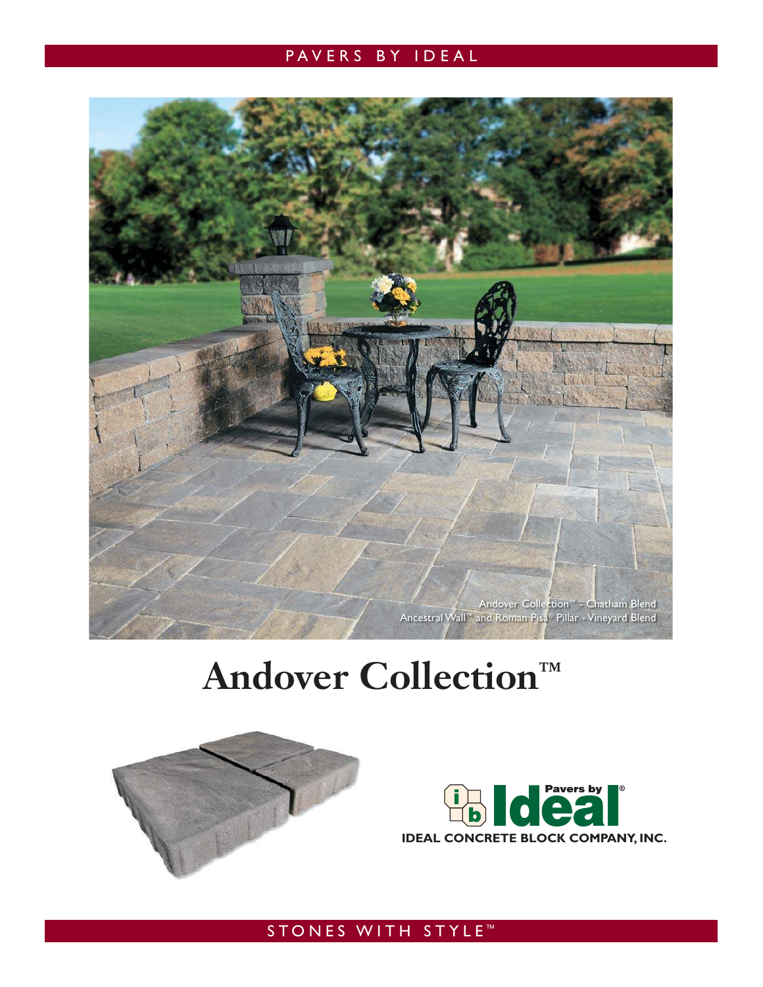### PAVERS BY IDEAL



## **Andover Collection™**





STONES WITH STYLE<sup>™</sup>